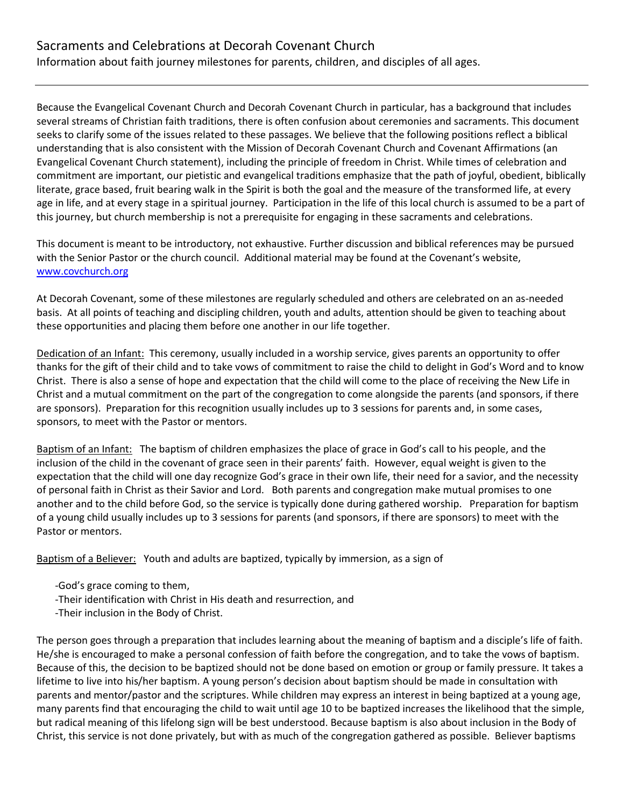Information about faith journey milestones for parents, children, and disciples of all ages.

Because the Evangelical Covenant Church and Decorah Covenant Church in particular, has a background that includes several streams of Christian faith traditions, there is often confusion about ceremonies and sacraments. This document seeks to clarify some of the issues related to these passages. We believe that the following positions reflect a biblical understanding that is also consistent with the Mission of Decorah Covenant Church and Covenant Affirmations (an Evangelical Covenant Church statement), including the principle of freedom in Christ. While times of celebration and commitment are important, our pietistic and evangelical traditions emphasize that the path of joyful, obedient, biblically literate, grace based, fruit bearing walk in the Spirit is both the goal and the measure of the transformed life, at every age in life, and at every stage in a spiritual journey. Participation in the life of this local church is assumed to be a part of this journey, but church membership is not a prerequisite for engaging in these sacraments and celebrations.

This document is meant to be introductory, not exhaustive. Further discussion and biblical references may be pursued with the Senior Pastor or the church council. Additional material may be found at the Covenant's website, [www.covchurch.org](http://www.covchurch.org/)

At Decorah Covenant, some of these milestones are regularly scheduled and others are celebrated on an as-needed basis. At all points of teaching and discipling children, youth and adults, attention should be given to teaching about these opportunities and placing them before one another in our life together.

Dedication of an Infant: This ceremony, usually included in a worship service, gives parents an opportunity to offer thanks for the gift of their child and to take vows of commitment to raise the child to delight in God's Word and to know Christ. There is also a sense of hope and expectation that the child will come to the place of receiving the New Life in Christ and a mutual commitment on the part of the congregation to come alongside the parents (and sponsors, if there are sponsors). Preparation for this recognition usually includes up to 3 sessions for parents and, in some cases, sponsors, to meet with the Pastor or mentors.

Baptism of an Infant: The baptism of children emphasizes the place of grace in God's call to his people, and the inclusion of the child in the covenant of grace seen in their parents' faith. However, equal weight is given to the expectation that the child will one day recognize God's grace in their own life, their need for a savior, and the necessity of personal faith in Christ as their Savior and Lord. Both parents and congregation make mutual promises to one another and to the child before God, so the service is typically done during gathered worship. Preparation for baptism of a young child usually includes up to 3 sessions for parents (and sponsors, if there are sponsors) to meet with the Pastor or mentors.

Baptism of a Believer: Youth and adults are baptized, typically by immersion, as a sign of

- -God's grace coming to them,
- -Their identification with Christ in His death and resurrection, and
- -Their inclusion in the Body of Christ.

The person goes through a preparation that includes learning about the meaning of baptism and a disciple's life of faith. He/she is encouraged to make a personal confession of faith before the congregation, and to take the vows of baptism. Because of this, the decision to be baptized should not be done based on emotion or group or family pressure. It takes a lifetime to live into his/her baptism. A young person's decision about baptism should be made in consultation with parents and mentor/pastor and the scriptures. While children may express an interest in being baptized at a young age, many parents find that encouraging the child to wait until age 10 to be baptized increases the likelihood that the simple, but radical meaning of this lifelong sign will be best understood. Because baptism is also about inclusion in the Body of Christ, this service is not done privately, but with as much of the congregation gathered as possible. Believer baptisms